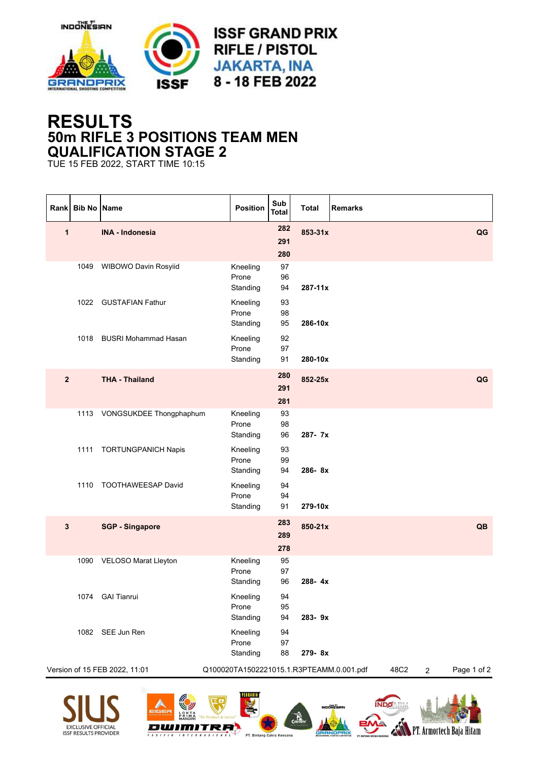

## **RESULTS 50m RIFLE 3 POSITIONS TEAM MEN QUALIFICATION STAGE 2**

TUE 15 FEB 2022, START TIME 10:15

| Rank           | <b>Bib No Name</b> |                               | Position                                 | Sub<br><b>Total</b> | <b>Total</b> | <b>Remarks</b>                        |
|----------------|--------------------|-------------------------------|------------------------------------------|---------------------|--------------|---------------------------------------|
| 1              |                    | <b>INA - Indonesia</b>        |                                          | 282<br>291<br>280   | 853-31x      | QG                                    |
|                |                    | 1049 WIBOWO Davin Rosyiid     | Kneeling<br>Prone<br>Standing            | 97<br>96<br>94      | $287 - 11x$  |                                       |
|                |                    | 1022 GUSTAFIAN Fathur         | Kneeling<br>Prone<br>Standing            | 93<br>98<br>95      | 286-10x      |                                       |
|                | 1018               | <b>BUSRI Mohammad Hasan</b>   | Kneeling<br>Prone<br>Standing            | 92<br>97<br>91      | 280-10x      |                                       |
| $\overline{2}$ |                    | <b>THA - Thailand</b>         |                                          | 280<br>291<br>281   | 852-25x      | QG                                    |
|                |                    | 1113 VONGSUKDEE Thongphaphum  | Kneeling<br>Prone<br>Standing            | 93<br>98<br>96      | 287-7x       |                                       |
|                | 1111               | <b>TORTUNGPANICH Napis</b>    | Kneeling<br>Prone<br>Standing            | 93<br>99<br>94      | 286-8x       |                                       |
|                | 1110               | TOOTHAWEESAP David            | Kneeling<br>Prone<br>Standing            | 94<br>94<br>91      | 279-10x      |                                       |
| $\mathbf 3$    |                    | <b>SGP - Singapore</b>        |                                          | 283<br>289<br>278   | 850-21x      | QB                                    |
|                |                    | 1090 VELOSO Marat Lleyton     | Kneeling<br>Prone<br>Standing            | 95<br>97<br>96      | 288-4x       |                                       |
|                |                    | 1074 GAI Tianrui              | Kneeling<br>Prone<br>Standing            | 94<br>95<br>94      | 283-9x       |                                       |
|                |                    | 1082 SEE Jun Ren              | Kneeling<br>Prone<br>Standing            | 94<br>97<br>88      | 279-8x       |                                       |
|                |                    | Version of 15 FEB 2022, 11:01 | Q100020TA1502221015.1.R3PTEAMM.0.001.pdf |                     |              | Page 1 of 2<br>48C2<br>$\overline{c}$ |
|                |                    | $\mathscr{R}$<br><b>ISA</b>   | <b>PERBAKIN</b>                          |                     |              |                                       |





G